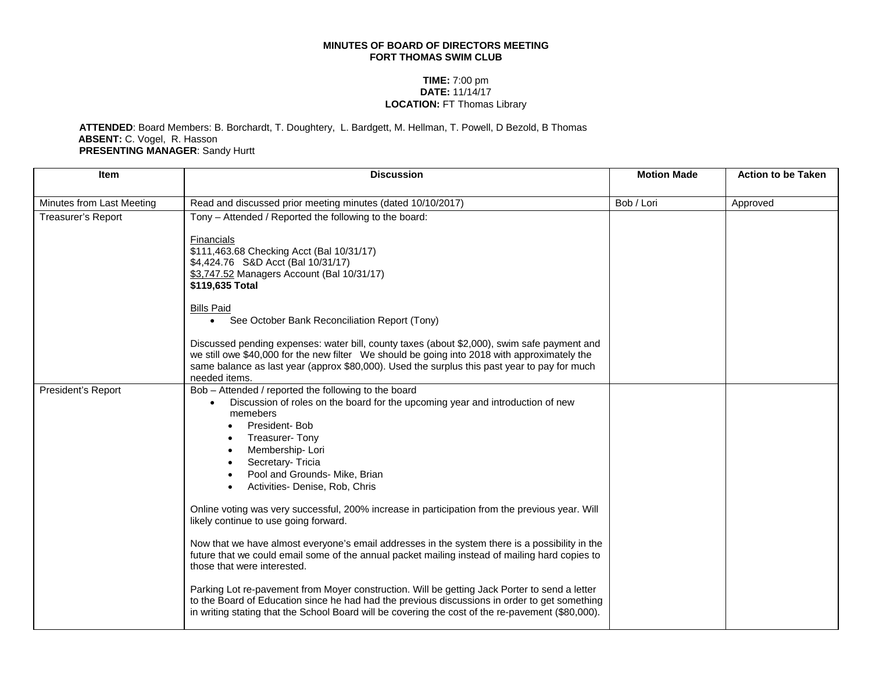## **MINUTES OF BOARD OF DIRECTORS MEETING FORT THOMAS SWIM CLUB**

## **TIME:** 7:00 pm **DATE:** 11/14/17 **LOCATION:** FT Thomas Library

## **ATTENDED**: Board Members: B. Borchardt, T. Doughtery, L. Bardgett, M. Hellman, T. Powell, D Bezold, B Thomas **ABSENT:** C. Vogel, R. Hasson **PRESENTING MANAGER**: Sandy Hurtt

| <b>Item</b>               | <b>Discussion</b>                                                                                                                                                                                                                                                                                                                                                                                                                                                                               | <b>Motion Made</b> | <b>Action to be Taken</b> |
|---------------------------|-------------------------------------------------------------------------------------------------------------------------------------------------------------------------------------------------------------------------------------------------------------------------------------------------------------------------------------------------------------------------------------------------------------------------------------------------------------------------------------------------|--------------------|---------------------------|
| Minutes from Last Meeting | Read and discussed prior meeting minutes (dated 10/10/2017)                                                                                                                                                                                                                                                                                                                                                                                                                                     | Bob / Lori         | Approved                  |
| Treasurer's Report        | Tony - Attended / Reported the following to the board:<br>Financials<br>\$111,463.68 Checking Acct (Bal 10/31/17)<br>\$4,424.76 S&D Acct (Bal 10/31/17)<br>\$3,747.52 Managers Account (Bal 10/31/17)<br>\$119,635 Total<br><b>Bills Paid</b><br>• See October Bank Reconciliation Report (Tony)<br>Discussed pending expenses: water bill, county taxes (about \$2,000), swim safe payment and<br>we still owe \$40,000 for the new filter We should be going into 2018 with approximately the |                    |                           |
|                           | same balance as last year (approx \$80,000). Used the surplus this past year to pay for much<br>needed items.                                                                                                                                                                                                                                                                                                                                                                                   |                    |                           |
| President's Report        | Bob - Attended / reported the following to the board<br>Discussion of roles on the board for the upcoming year and introduction of new<br>memebers<br>President-Bob<br><b>Treasurer- Tony</b><br>Membership-Lori<br>Secretary- Tricia<br>Pool and Grounds- Mike, Brian<br>Activities- Denise, Rob, Chris                                                                                                                                                                                        |                    |                           |
|                           | Online voting was very successful, 200% increase in participation from the previous year. Will<br>likely continue to use going forward.                                                                                                                                                                                                                                                                                                                                                         |                    |                           |
|                           | Now that we have almost everyone's email addresses in the system there is a possibility in the<br>future that we could email some of the annual packet mailing instead of mailing hard copies to<br>those that were interested.                                                                                                                                                                                                                                                                 |                    |                           |
|                           | Parking Lot re-pavement from Moyer construction. Will be getting Jack Porter to send a letter<br>to the Board of Education since he had had the previous discussions in order to get something<br>in writing stating that the School Board will be covering the cost of the re-pavement (\$80,000).                                                                                                                                                                                             |                    |                           |